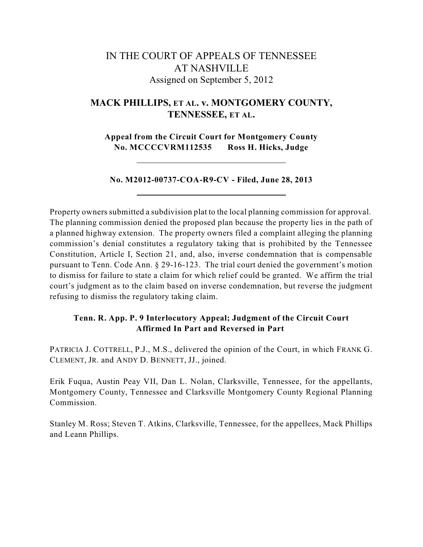# IN THE COURT OF APPEALS OF TENNESSEE AT NASHVILLE Assigned on September 5, 2012

## **MACK PHILLIPS, ET AL. v. MONTGOMERY COUNTY, TENNESSEE, ET AL.**

**Appeal from the Circuit Court for Montgomery County No. MCCCCVRM112535 Ross H. Hicks, Judge**

**No. M2012-00737-COA-R9-CV - Filed, June 28, 2013**

Property owners submitted a subdivision plat to the local planning commission for approval. The planning commission denied the proposed plan because the property lies in the path of a planned highway extension. The property owners filed a complaint alleging the planning commission's denial constitutes a regulatory taking that is prohibited by the Tennessee Constitution, Article I, Section 21, and, also, inverse condemnation that is compensable pursuant to Tenn. Code Ann. § 29-16-123. The trial court denied the government's motion to dismiss for failure to state a claim for which relief could be granted. We affirm the trial court's judgment as to the claim based on inverse condemnation, but reverse the judgment refusing to dismiss the regulatory taking claim.

## **Tenn. R. App. P. 9 Interlocutory Appeal; Judgment of the Circuit Court Affirmed In Part and Reversed in Part**

PATRICIA J. COTTRELL, P.J., M.S., delivered the opinion of the Court, in which FRANK G. CLEMENT, JR. and ANDY D. BENNETT, JJ., joined.

Erik Fuqua, Austin Peay VII, Dan L. Nolan, Clarksville, Tennessee, for the appellants, Montgomery County, Tennessee and Clarksville Montgomery County Regional Planning Commission.

Stanley M. Ross; Steven T. Atkins, Clarksville, Tennessee, for the appellees, Mack Phillips and Leann Phillips.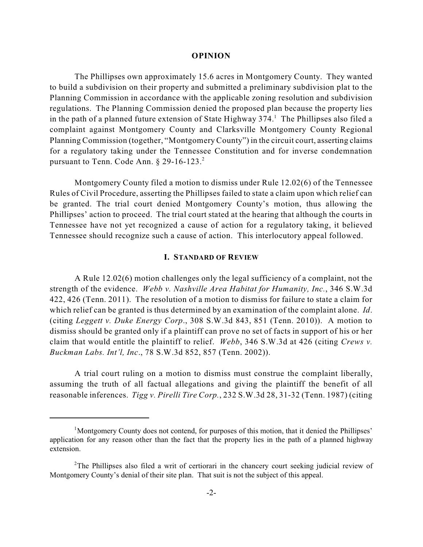#### **OPINION**

The Phillipses own approximately 15.6 acres in Montgomery County. They wanted to build a subdivision on their property and submitted a preliminary subdivision plat to the Planning Commission in accordance with the applicable zoning resolution and subdivision regulations. The Planning Commission denied the proposed plan because the property lies in the path of a planned future extension of State Highway  $374$ . The Phillipses also filed a complaint against Montgomery County and Clarksville Montgomery County Regional Planning Commission (together, "Montgomery County") in the circuit court, asserting claims for a regulatory taking under the Tennessee Constitution and for inverse condemnation pursuant to Tenn. Code Ann. § 29-16-123.<sup>2</sup>

Montgomery County filed a motion to dismiss under Rule 12.02(6) of the Tennessee Rules of Civil Procedure, asserting the Phillipses failed to state a claim upon which relief can be granted. The trial court denied Montgomery County's motion, thus allowing the Phillipses' action to proceed. The trial court stated at the hearing that although the courts in Tennessee have not yet recognized a cause of action for a regulatory taking, it believed Tennessee should recognize such a cause of action. This interlocutory appeal followed.

#### **I. STANDARD OF REVIEW**

A Rule 12.02(6) motion challenges only the legal sufficiency of a complaint, not the strength of the evidence. *Webb v. Nashville Area Habitat for Humanity, Inc.*, 346 S.W.3d 422, 426 (Tenn. 2011). The resolution of a motion to dismiss for failure to state a claim for which relief can be granted is thus determined by an examination of the complaint alone. *Id*. (citing *Leggett v. Duke Energy Corp*., 308 S.W.3d 843, 851 (Tenn. 2010)). A motion to dismiss should be granted only if a plaintiff can prove no set of facts in support of his or her claim that would entitle the plaintiff to relief. *Webb*, 346 S.W.3d at 426 (citing *Crews v. Buckman Labs. Int'l, Inc*., 78 S.W.3d 852, 857 (Tenn. 2002)).

A trial court ruling on a motion to dismiss must construe the complaint liberally, assuming the truth of all factual allegations and giving the plaintiff the benefit of all reasonable inferences. *Tigg v. Pirelli Tire Corp.*, 232 S.W.3d 28, 31-32 (Tenn. 1987) (citing

<sup>&</sup>lt;sup>1</sup>Montgomery County does not contend, for purposes of this motion, that it denied the Phillipses' application for any reason other than the fact that the property lies in the path of a planned highway extension.

<sup>&</sup>lt;sup>2</sup>The Phillipses also filed a writ of certiorari in the chancery court seeking judicial review of Montgomery County's denial of their site plan. That suit is not the subject of this appeal.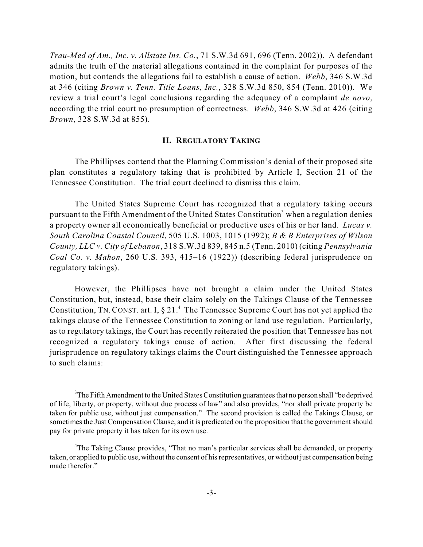*Trau-Med of Am., Inc. v. Allstate Ins. Co.*, 71 S.W.3d 691, 696 (Tenn. 2002)). A defendant admits the truth of the material allegations contained in the complaint for purposes of the motion, but contends the allegations fail to establish a cause of action. *Webb*, 346 S.W.3d at 346 (citing *Brown v. Tenn. Title Loans, Inc.*, 328 S.W.3d 850, 854 (Tenn. 2010)). We review a trial court's legal conclusions regarding the adequacy of a complaint *de novo*, according the trial court no presumption of correctness. *Webb*, 346 S.W.3d at 426 (citing *Brown*, 328 S.W.3d at 855).

## **II. REGULATORY TAKING**

The Phillipses contend that the Planning Commission's denial of their proposed site plan constitutes a regulatory taking that is prohibited by Article I, Section 21 of the Tennessee Constitution. The trial court declined to dismiss this claim.

The United States Supreme Court has recognized that a regulatory taking occurs pursuant to the Fifth Amendment of the United States Constitution<sup>3</sup> when a regulation denies a property owner all economically beneficial or productive uses of his or her land. *Lucas v. South Carolina Coastal Council*, 505 U.S. 1003, 1015 (1992); *B & B Enterprises of Wilson County, LLC v. City of Lebanon*, 318 S.W.3d 839, 845 n.5 (Tenn. 2010) (citing *Pennsylvania Coal Co. v. Mahon*, 260 U.S. 393, 415–16 (1922)) (describing federal jurisprudence on regulatory takings).

However, the Phillipses have not brought a claim under the United States Constitution, but, instead, base their claim solely on the Takings Clause of the Tennessee Constitution, TN. CONST. art. I,  $\S 21.4$  The Tennessee Supreme Court has not yet applied the takings clause of the Tennessee Constitution to zoning or land use regulation. Particularly, as to regulatory takings, the Court has recently reiterated the position that Tennessee has not recognized a regulatory takings cause of action. After first discussing the federal jurisprudence on regulatory takings claims the Court distinguished the Tennessee approach to such claims:

<sup>&</sup>lt;sup>3</sup>The Fifth Amendment to the United States Constitution guarantees that no person shall "be deprived" of life, liberty, or property, without due process of law" and also provides, "nor shall private property be taken for public use, without just compensation." The second provision is called the Takings Clause, or sometimes the Just Compensation Clause, and it is predicated on the proposition that the government should pay for private property it has taken for its own use.

<sup>&</sup>lt;sup>4</sup>The Taking Clause provides, "That no man's particular services shall be demanded, or property taken, or applied to public use, without the consent of hisrepresentatives, or without just compensation being made therefor."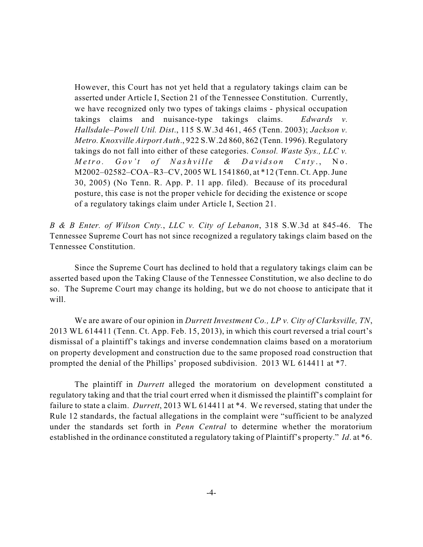However, this Court has not yet held that a regulatory takings claim can be asserted under Article I, Section 21 of the Tennessee Constitution. Currently, we have recognized only two types of takings claims - physical occupation takings claims and nuisance-type takings claims. *Edwards v. Hallsdale–Powell Util. Dist*., 115 S.W.3d 461, 465 (Tenn. 2003); *Jackson v. Metro. Knoxville Airport Auth*., 922 S.W.2d 860, 862 (Tenn. 1996). Regulatory takings do not fall into either of these categories. *Consol. Waste Sys., LLC v.* Metro. Gov't of Nashville & Davidson Cnty., No. M2002–02582–COA–R3–CV, 2005 WL 1541860, at \*12 (Tenn. Ct. App.June 30, 2005) (No Tenn. R. App. P. 11 app. filed). Because of its procedural posture, this case is not the proper vehicle for deciding the existence or scope of a regulatory takings claim under Article I, Section 21.

*B & B Enter. of Wilson Cnty.*, *LLC v. City of Lebanon*, 318 S.W.3d at 845-46. The Tennessee Supreme Court has not since recognized a regulatory takings claim based on the Tennessee Constitution.

Since the Supreme Court has declined to hold that a regulatory takings claim can be asserted based upon the Taking Clause of the Tennessee Constitution, we also decline to do so. The Supreme Court may change its holding, but we do not choose to anticipate that it will.

We are aware of our opinion in *Durrett Investment Co., LP v. City of Clarksville, TN*, 2013 WL 614411 (Tenn. Ct. App. Feb. 15, 2013), in which this court reversed a trial court's dismissal of a plaintiff's takings and inverse condemnation claims based on a moratorium on property development and construction due to the same proposed road construction that prompted the denial of the Phillips' proposed subdivision. 2013 WL 614411 at \*7.

The plaintiff in *Durrett* alleged the moratorium on development constituted a regulatory taking and that the trial court erred when it dismissed the plaintiff's complaint for failure to state a claim. *Durrett*, 2013 WL 614411 at \*4. We reversed, stating that under the Rule 12 standards, the factual allegations in the complaint were "sufficient to be analyzed under the standards set forth in *Penn Central* to determine whether the moratorium established in the ordinance constituted a regulatory taking of Plaintiff's property." *Id*. at \*6.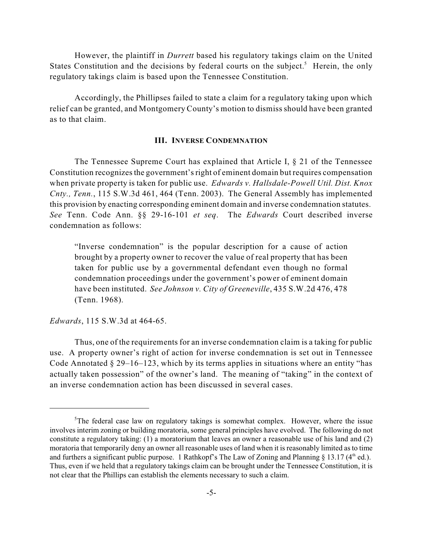However, the plaintiff in *Durrett* based his regulatory takings claim on the United States Constitution and the decisions by federal courts on the subject.<sup>5</sup> Herein, the only regulatory takings claim is based upon the Tennessee Constitution.

Accordingly, the Phillipses failed to state a claim for a regulatory taking upon which relief can be granted, and Montgomery County's motion to dismiss should have been granted as to that claim.

## **III. INVERSE CONDEMNATION**

The Tennessee Supreme Court has explained that Article I, § 21 of the Tennessee Constitution recognizesthe government'sright of eminent domain but requires compensation when private property is taken for public use. *Edwards v. Hallsdale-Powell Util. Dist. Knox Cnty., Tenn.*, 115 S.W.3d 461, 464 (Tenn. 2003). The General Assembly has implemented this provision by enacting corresponding eminent domain and inverse condemnation statutes. *See* Tenn. Code Ann. §§ 29-16-101 *et seq*. The *Edwards* Court described inverse condemnation as follows:

"Inverse condemnation" is the popular description for a cause of action brought by a property owner to recover the value of real property that has been taken for public use by a governmental defendant even though no formal condemnation proceedings under the government's power of eminent domain have been instituted. *See Johnson v. City of Greeneville*, 435 S.W.2d 476, 478 (Tenn. 1968).

*Edwards*, 115 S.W.3d at 464-65.

Thus, one of the requirements for an inverse condemnation claim is a taking for public use. A property owner's right of action for inverse condemnation is set out in Tennessee Code Annotated § 29–16–123, which by its terms applies in situations where an entity "has actually taken possession" of the owner's land. The meaning of "taking" in the context of an inverse condemnation action has been discussed in several cases.

 $5$ The federal case law on regulatory takings is somewhat complex. However, where the issue involves interim zoning or building moratoria, some general principles have evolved. The following do not constitute a regulatory taking: (1) a moratorium that leaves an owner a reasonable use of his land and (2) moratoria that temporarily deny an owner all reasonable uses of land when it isreasonably limited as to time and furthers a significant public purpose. 1 Rathkopf's The Law of Zoning and Planning  $\S 13.17$  (4<sup>th</sup> ed.). Thus, even if we held that a regulatory takings claim can be brought under the Tennessee Constitution, it is not clear that the Phillips can establish the elements necessary to such a claim.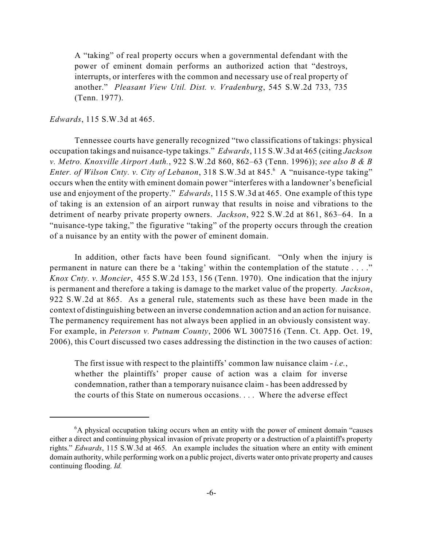A "taking" of real property occurs when a governmental defendant with the power of eminent domain performs an authorized action that "destroys, interrupts, or interferes with the common and necessary use of real property of another." *Pleasant View Util. Dist. v. Vradenburg*, 545 S.W.2d 733, 735 (Tenn. 1977).

## *Edwards*, 115 S.W.3d at 465.

Tennessee courts have generally recognized "two classifications of takings: physical occupation takings and nuisance-type takings." *Edwards*, 115 S.W.3d at 465 (citing *Jackson v. Metro. Knoxville Airport Auth.*, 922 S.W.2d 860, 862–63 (Tenn. 1996)); *see also B & B Enter. of Wilson Cnty. v. City of Lebanon,* 318 S.W.3d at 845.<sup>6</sup> A "nuisance-type taking" occurs when the entity with eminent domain power "interferes with a landowner's beneficial use and enjoyment of the property." *Edwards*, 115 S.W.3d at 465. One example of this type of taking is an extension of an airport runway that results in noise and vibrations to the detriment of nearby private property owners. *Jackson*, 922 S.W.2d at 861, 863–64. In a "nuisance-type taking," the figurative "taking" of the property occurs through the creation of a nuisance by an entity with the power of eminent domain.

In addition, other facts have been found significant. "Only when the injury is permanent in nature can there be a 'taking' within the contemplation of the statute . . . ." *Knox Cnty. v. Moncier*, 455 S.W.2d 153, 156 (Tenn. 1970). One indication that the injury is permanent and therefore a taking is damage to the market value of the property*. Jackson*, 922 S.W.2d at 865. As a general rule, statements such as these have been made in the context of distinguishing between an inverse condemnation action and an action for nuisance. The permanency requirement has not always been applied in an obviously consistent way. For example, in *Peterson v. Putnam County*, 2006 WL 3007516 (Tenn. Ct. App. Oct. 19, 2006), this Court discussed two cases addressing the distinction in the two causes of action:

The first issue with respect to the plaintiffs' common law nuisance claim - *i.e.*, whether the plaintiffs' proper cause of action was a claim for inverse condemnation, rather than a temporary nuisance claim - has been addressed by the courts of this State on numerous occasions. . . . Where the adverse effect

 $6A$  physical occupation taking occurs when an entity with the power of eminent domain "causes either a direct and continuing physical invasion of private property or a destruction of a plaintiff's property rights." *Edwards*, 115 S.W.3d at 465. An example includes the situation where an entity with eminent domain authority, while performing work on a public project, diverts water onto private property and causes continuing flooding. *Id.*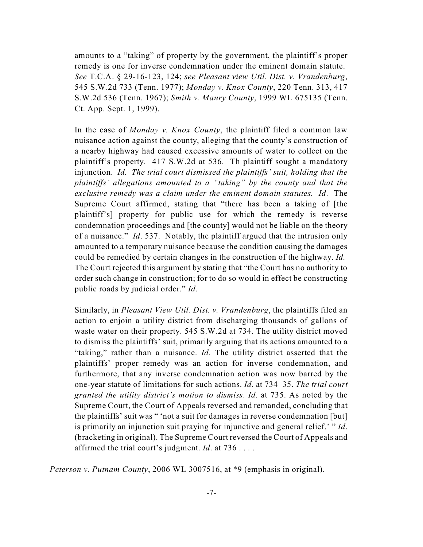amounts to a "taking" of property by the government, the plaintiff's proper remedy is one for inverse condemnation under the eminent domain statute. *See* T.C.A. § 29-16-123, 124; *see Pleasant view Util. Dist. v. Vrandenburg*, 545 S.W.2d 733 (Tenn. 1977); *Monday v. Knox County*, 220 Tenn. 313, 417 S.W.2d 536 (Tenn. 1967); *Smith v. Maury County*, 1999 WL 675135 (Tenn. Ct. App. Sept. 1, 1999).

In the case of *Monday v. Knox County*, the plaintiff filed a common law nuisance action against the county, alleging that the county's construction of a nearby highway had caused excessive amounts of water to collect on the plaintiff's property. 417 S.W.2d at 536. Th plaintiff sought a mandatory injunction. *Id. The trial court dismissed the plaintiffs' suit, holding that the plaintiffs' allegations amounted to a "taking" by the county and that the exclusive remedy was a claim under the eminent domain statutes. Id*. The Supreme Court affirmed, stating that "there has been a taking of [the plaintiff's] property for public use for which the remedy is reverse condemnation proceedings and [the county] would not be liable on the theory of a nuisance." *Id*. 537. Notably, the plaintiff argued that the intrusion only amounted to a temporary nuisance because the condition causing the damages could be remedied by certain changes in the construction of the highway. *Id.* The Court rejected this argument by stating that "the Court has no authority to order such change in construction; for to do so would in effect be constructing public roads by judicial order." *Id*.

Similarly, in *Pleasant View Util. Dist. v. Vrandenburg*, the plaintiffs filed an action to enjoin a utility district from discharging thousands of gallons of waste water on their property. 545 S.W.2d at 734. The utility district moved to dismiss the plaintiffs' suit, primarily arguing that its actions amounted to a "taking," rather than a nuisance. *Id*. The utility district asserted that the plaintiffs' proper remedy was an action for inverse condemnation, and furthermore, that any inverse condemnation action was now barred by the one-year statute of limitations for such actions. *Id*. at 734–35. *The trial court granted the utility district's motion to dismiss*. *Id*. at 735. As noted by the Supreme Court, the Court of Appeals reversed and remanded, concluding that the plaintiffs' suit was " 'not a suit for damages in reverse condemnation [but] is primarily an injunction suit praying for injunctive and general relief.' " *Id*. (bracketing in original). The Supreme Court reversed the Court of Appeals and affirmed the trial court's judgment. *Id*. at 736 . . . .

*Peterson v. Putnam County*, 2006 WL 3007516, at \*9 (emphasis in original).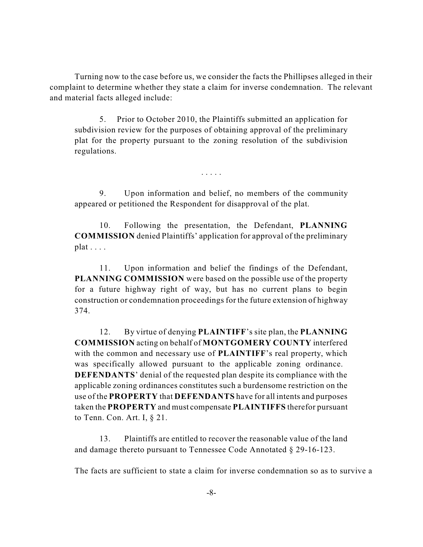Turning now to the case before us, we consider the facts the Phillipses alleged in their complaint to determine whether they state a claim for inverse condemnation. The relevant and material facts alleged include:

5. Prior to October 2010, the Plaintiffs submitted an application for subdivision review for the purposes of obtaining approval of the preliminary plat for the property pursuant to the zoning resolution of the subdivision regulations.

9. Upon information and belief, no members of the community appeared or petitioned the Respondent for disapproval of the plat.

. . . . .

10. Following the presentation, the Defendant, **PLANNING COMMISSION** denied Plaintiffs' application for approval of the preliminary plat . . . .

11. Upon information and belief the findings of the Defendant, **PLANNING COMMISSION** were based on the possible use of the property for a future highway right of way, but has no current plans to begin construction or condemnation proceedings for the future extension of highway 374.

12. By virtue of denying **PLAINTIFF**'s site plan, the **PLANNING COMMISSION** acting on behalf of **MONTGOMERY COUNTY** interfered with the common and necessary use of **PLAINTIFF**'s real property, which was specifically allowed pursuant to the applicable zoning ordinance. **DEFENDANTS**' denial of the requested plan despite its compliance with the applicable zoning ordinances constitutes such a burdensome restriction on the use of the **PROPERTY** that **DEFENDANTS** have for all intents and purposes taken the **PROPERTY** and must compensate **PLAINTIFFS** therefor pursuant to Tenn. Con. Art. I, § 21.

13. Plaintiffs are entitled to recover the reasonable value of the land and damage thereto pursuant to Tennessee Code Annotated § 29-16-123.

The facts are sufficient to state a claim for inverse condemnation so as to survive a